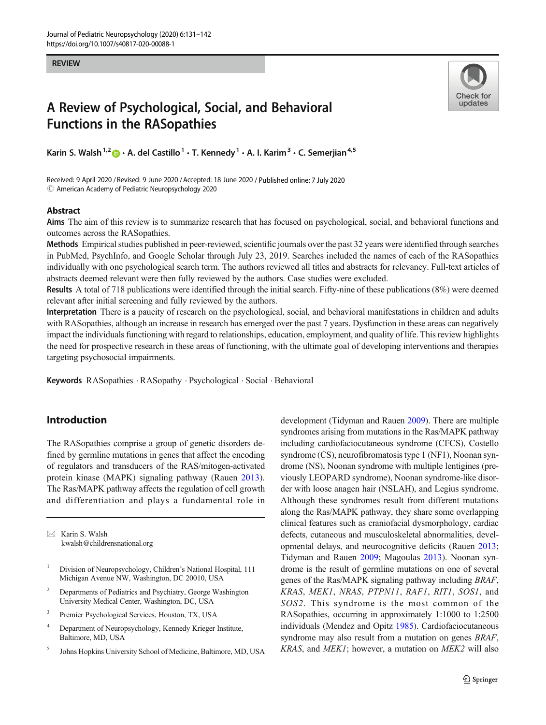#### REVIEW



# A Review of Psychological, Social, and Behavioral Functions in the RASopathies

Karin S. Walsh<sup>1,2</sup>  $\bullet$  · A. del Castillo<sup>1</sup> · T. Kennedy<sup>1</sup> · A. I. Karim<sup>3</sup> · C. Semerjian<sup>4,5</sup>

Received: 9 April 2020 / Revised: 9 June 2020 /Accepted: 18 June 2020 / Published online: 7 July 2020  $\odot$  American Academy of Pediatric Neuropsychology 2020

#### Abstract

Aims The aim of this review is to summarize research that has focused on psychological, social, and behavioral functions and outcomes across the RASopathies.

Methods Empirical studies published in peer-reviewed, scientific journals over the past 32 years were identified through searches in PubMed, PsychInfo, and Google Scholar through July 23, 2019. Searches included the names of each of the RASopathies individually with one psychological search term. The authors reviewed all titles and abstracts for relevancy. Full-text articles of abstracts deemed relevant were then fully reviewed by the authors. Case studies were excluded.

Results A total of 718 publications were identified through the initial search. Fifty-nine of these publications (8%) were deemed relevant after initial screening and fully reviewed by the authors.

Interpretation There is a paucity of research on the psychological, social, and behavioral manifestations in children and adults with RASopathies, although an increase in research has emerged over the past 7 years. Dysfunction in these areas can negatively impact the individuals functioning with regard to relationships, education, employment, and quality of life. This review highlights the need for prospective research in these areas of functioning, with the ultimate goal of developing interventions and therapies targeting psychosocial impairments.

Keywords RASopathies . RASopathy . Psychological . Social . Behavioral

# Introduction

The RASopathies comprise a group of genetic disorders defined by germline mutations in genes that affect the encoding of regulators and transducers of the RAS/mitogen-activated protein kinase (MAPK) signaling pathway (Rauen [2013](#page-10-0)). The Ras/MAPK pathway affects the regulation of cell growth and differentiation and plays a fundamental role in

 $\boxtimes$  Karin S. Walsh [kwalsh@childrensnational.org](mailto:kwalsh@childrensnational.org)

- <sup>1</sup> Division of Neuropsychology, Children's National Hospital, 111 Michigan Avenue NW, Washington, DC 20010, USA
- <sup>2</sup> Departments of Pediatrics and Psychiatry, George Washington University Medical Center, Washington, DC, USA
- <sup>3</sup> Premier Psychological Services, Houston, TX, USA
- <sup>4</sup> Department of Neuropsychology, Kennedy Krieger Institute, Baltimore, MD, USA
- <sup>5</sup> Johns Hopkins University School of Medicine, Baltimore, MD, USA

development (Tidyman and Rauen [2009](#page-11-0)). There are multiple syndromes arising from mutations in the Ras/MAPK pathway including cardiofaciocutaneous syndrome (CFCS), Costello syndrome (CS), neurofibromatosis type 1 (NF1), Noonan syndrome (NS), Noonan syndrome with multiple lentigines (previously LEOPARD syndrome), Noonan syndrome-like disorder with loose anagen hair (NSLAH), and Legius syndrome. Although these syndromes result from different mutations along the Ras/MAPK pathway, they share some overlapping clinical features such as craniofacial dysmorphology, cardiac defects, cutaneous and musculoskeletal abnormalities, developmental delays, and neurocognitive deficits (Rauen [2013;](#page-10-0) Tidyman and Rauen [2009](#page-11-0); Magoulas [2013](#page-10-0)). Noonan syndrome is the result of germline mutations on one of several genes of the Ras/MAPK signaling pathway including BRAF, KRAS, MEK1, NRAS, PTPN11, RAF1, RIT1, SOS1, and SOS2. This syndrome is the most common of the RASopathies, occurring in approximately 1:1000 to 1:2500 individuals (Mendez and Opitz [1985](#page-10-0)). Cardiofaciocutaneous syndrome may also result from a mutation on genes *BRAF*, KRAS, and MEK1; however, a mutation on MEK2 will also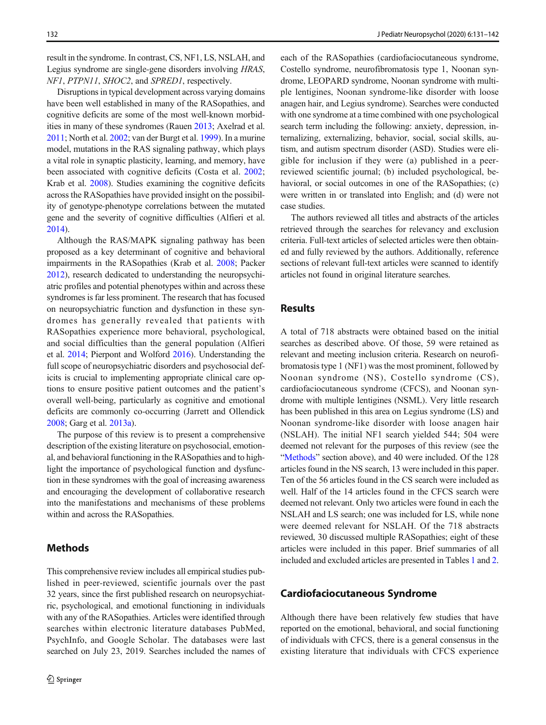result in the syndrome. In contrast, CS, NF1, LS, NSLAH, and Legius syndrome are single-gene disorders involving HRAS, NF1, PTPN11, SHOC2, and SPRED1, respectively.

Disruptions in typical development across varying domains have been well established in many of the RASopathies, and cognitive deficits are some of the most well-known morbidities in many of these syndromes (Rauen [2013](#page-10-0); Axelrad et al. [2011;](#page-9-0) North et al. [2002](#page-10-0); van der Burgt et al. [1999\)](#page-11-0). In a murine model, mutations in the RAS signaling pathway, which plays a vital role in synaptic plasticity, learning, and memory, have been associated with cognitive deficits (Costa et al. [2002](#page-9-0); Krab et al. [2008\)](#page-10-0). Studies examining the cognitive deficits across the RASopathies have provided insight on the possibility of genotype-phenotype correlations between the mutated gene and the severity of cognitive difficulties (Alfieri et al. [2014\)](#page-8-0).

Although the RAS/MAPK signaling pathway has been proposed as a key determinant of cognitive and behavioral impairments in the RASopathies (Krab et al. [2008](#page-10-0); Packer [2012\)](#page-10-0), research dedicated to understanding the neuropsychiatric profiles and potential phenotypes within and across these syndromes is far less prominent. The research that has focused on neuropsychiatric function and dysfunction in these syndromes has generally revealed that patients with RASopathies experience more behavioral, psychological, and social difficulties than the general population (Alfieri et al. [2014](#page-8-0); Pierpont and Wolford [2016](#page-10-0)). Understanding the full scope of neuropsychiatric disorders and psychosocial deficits is crucial to implementing appropriate clinical care options to ensure positive patient outcomes and the patient's overall well-being, particularly as cognitive and emotional deficits are commonly co-occurring (Jarrett and Ollendick [2008;](#page-9-0) Garg et al. [2013a](#page-9-0)).

The purpose of this review is to present a comprehensive description of the existing literature on psychosocial, emotional, and behavioral functioning in the RASopathies and to highlight the importance of psychological function and dysfunction in these syndromes with the goal of increasing awareness and encouraging the development of collaborative research into the manifestations and mechanisms of these problems within and across the RASopathies.

## Methods

This comprehensive review includes all empirical studies published in peer-reviewed, scientific journals over the past 32 years, since the first published research on neuropsychiatric, psychological, and emotional functioning in individuals with any of the RASopathies. Articles were identified through searches within electronic literature databases PubMed, PsychInfo, and Google Scholar. The databases were last searched on July 23, 2019. Searches included the names of each of the RASopathies (cardiofaciocutaneous syndrome, Costello syndrome, neurofibromatosis type 1, Noonan syndrome, LEOPARD syndrome, Noonan syndrome with multiple lentigines, Noonan syndrome-like disorder with loose anagen hair, and Legius syndrome). Searches were conducted with one syndrome at a time combined with one psychological search term including the following: anxiety, depression, internalizing, externalizing, behavior, social, social skills, autism, and autism spectrum disorder (ASD). Studies were eligible for inclusion if they were (a) published in a peerreviewed scientific journal; (b) included psychological, behavioral, or social outcomes in one of the RASopathies; (c) were written in or translated into English; and (d) were not case studies.

The authors reviewed all titles and abstracts of the articles retrieved through the searches for relevancy and exclusion criteria. Full-text articles of selected articles were then obtained and fully reviewed by the authors. Additionally, reference sections of relevant full-text articles were scanned to identify articles not found in original literature searches.

## Results

A total of 718 abstracts were obtained based on the initial searches as described above. Of those, 59 were retained as relevant and meeting inclusion criteria. Research on neurofibromatosis type 1 (NF1) was the most prominent, followed by Noonan syndrome (NS), Costello syndrome (CS), cardiofaciocutaneous syndrome (CFCS), and Noonan syndrome with multiple lentigines (NSML). Very little research has been published in this area on Legius syndrome (LS) and Noonan syndrome-like disorder with loose anagen hair (NSLAH). The initial NF1 search yielded 544; 504 were deemed not relevant for the purposes of this review (see the "Methods" section above), and 40 were included. Of the 128 articles found in the NS search, 13 were included in this paper. Ten of the 56 articles found in the CS search were included as well. Half of the 14 articles found in the CFCS search were deemed not relevant. Only two articles were found in each the NSLAH and LS search; one was included for LS, while none were deemed relevant for NSLAH. Of the 718 abstracts reviewed, 30 discussed multiple RASopathies; eight of these articles were included in this paper. Brief summaries of all included and excluded articles are presented in Tables [1](#page-2-0) and [2.](#page-2-0)

## Cardiofaciocutaneous Syndrome

Although there have been relatively few studies that have reported on the emotional, behavioral, and social functioning of individuals with CFCS, there is a general consensus in the existing literature that individuals with CFCS experience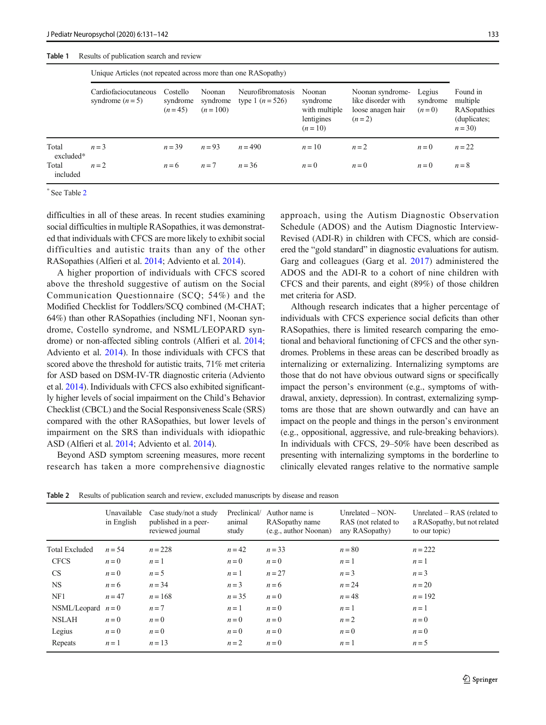#### <span id="page-2-0"></span>Table 1 Results of publication search and review

|                    |                                          | Unique Articles (not repeated across more than one RASopathy) |                                 |                                         |                                                               |                                                                        |                               |                                                                 |  |  |
|--------------------|------------------------------------------|---------------------------------------------------------------|---------------------------------|-----------------------------------------|---------------------------------------------------------------|------------------------------------------------------------------------|-------------------------------|-----------------------------------------------------------------|--|--|
|                    | Cardiofaciocutaneous<br>syndrome $(n=5)$ | Costello<br>syndrome<br>$(n=45)$                              | Noonan<br>syndrome<br>$(n=100)$ | Neurofibromatosis<br>type 1 $(n = 526)$ | Noonan<br>syndrome<br>with multiple<br>lentigines<br>$(n=10)$ | Noonan syndrome-<br>like disorder with<br>loose anagen hair<br>$(n=2)$ | Legius<br>syndrome<br>$(n=0)$ | Found in<br>multiple<br>RASopathies<br>(duplicates;<br>$n = 30$ |  |  |
| Total<br>excluded* | $n = 3$                                  | $n = 39$                                                      | $n = 93$                        | $n = 490$                               | $n=10$                                                        | $n=2$                                                                  | $n=0$                         | $n=22$                                                          |  |  |
| Total<br>included  | $n=2$                                    | $n = 6$                                                       | $n=7$                           | $n = 36$                                | $n=0$                                                         | $n=0$                                                                  | $n=0$                         | $n=8$                                                           |  |  |

\* See Table 2

difficulties in all of these areas. In recent studies examining social difficulties in multiple RASopathies, it was demonstrated that individuals with CFCS are more likely to exhibit social difficulties and autistic traits than any of the other RASopathies (Alfieri et al. [2014](#page-8-0); Adviento et al. [2014](#page-8-0)).

A higher proportion of individuals with CFCS scored above the threshold suggestive of autism on the Social Communication Questionnaire (SCQ; 54%) and the Modified Checklist for Toddlers/SCQ combined (M-CHAT; 64%) than other RASopathies (including NF1, Noonan syndrome, Costello syndrome, and NSML/LEOPARD syndrome) or non-affected sibling controls (Alfieri et al. [2014](#page-8-0); Adviento et al. [2014](#page-8-0)). In those individuals with CFCS that scored above the threshold for autistic traits, 71% met criteria for ASD based on DSM-IV-TR diagnostic criteria (Adviento et al. [2014](#page-8-0)). Individuals with CFCS also exhibited significantly higher levels of social impairment on the Child's Behavior Checklist (CBCL) and the Social Responsiveness Scale (SRS) compared with the other RASopathies, but lower levels of impairment on the SRS than individuals with idiopathic ASD (Alfieri et al. [2014;](#page-8-0) Adviento et al. [2014\)](#page-8-0).

Beyond ASD symptom screening measures, more recent research has taken a more comprehensive diagnostic approach, using the Autism Diagnostic Observation Schedule (ADOS) and the Autism Diagnostic Interview-Revised (ADI-R) in children with CFCS, which are considered the "gold standard" in diagnostic evaluations for autism. Garg and colleagues (Garg et al. [2017](#page-9-0)) administered the ADOS and the ADI-R to a cohort of nine children with CFCS and their parents, and eight (89%) of those children met criteria for ASD.

Although research indicates that a higher percentage of individuals with CFCS experience social deficits than other RASopathies, there is limited research comparing the emotional and behavioral functioning of CFCS and the other syndromes. Problems in these areas can be described broadly as internalizing or externalizing. Internalizing symptoms are those that do not have obvious outward signs or specifically impact the person's environment (e.g., symptoms of withdrawal, anxiety, depression). In contrast, externalizing symptoms are those that are shown outwardly and can have an impact on the people and things in the person's environment (e.g., oppositional, aggressive, and rule-breaking behaviors). In individuals with CFCS, 29–50% have been described as presenting with internalizing symptoms in the borderline to clinically elevated ranges relative to the normative sample

Table 2 Results of publication search and review, excluded manuscripts by disease and reason

|                       | Unavailable<br>in English | Case study/not a study<br>published in a peer-<br>reviewed journal | Preclinical/<br>animal<br>study | Author name is<br>RASopathy name<br>(e.g., author Noonan) | Unrelated $-$ NON-<br>RAS (not related to<br>any RASopathy) | Unrelated $-$ RAS (related to<br>a RASopathy, but not related<br>to our topic) |
|-----------------------|---------------------------|--------------------------------------------------------------------|---------------------------------|-----------------------------------------------------------|-------------------------------------------------------------|--------------------------------------------------------------------------------|
| <b>Total Excluded</b> | $n = 54$                  | $n = 228$                                                          | $n = 42$                        | $n = 33$                                                  | $n = 80$                                                    | $n = 222$                                                                      |
| <b>CFCS</b>           | $n=0$                     | $n=1$                                                              | $n = 0$                         | $n = 0$                                                   | $n=1$                                                       | $n=1$                                                                          |
| <b>CS</b>             | $n = 0$                   | $n = 5$                                                            | $n=1$                           | $n=27$                                                    | $n=3$                                                       | $n=3$                                                                          |
| <b>NS</b>             | $n = 6$                   | $n = 34$                                                           | $n=3$                           | $n = 6$                                                   | $n = 24$                                                    | $n = 20$                                                                       |
| NF1                   | $n = 47$                  | $n = 168$                                                          | $n = 35$                        | $n = 0$                                                   | $n = 48$                                                    | $n = 192$                                                                      |
| NSML/Leopard $n=0$    |                           | $n=7$                                                              | $n=1$                           | $n = 0$                                                   | $n=1$                                                       | $n=1$                                                                          |
| <b>NSLAH</b>          | $n = 0$                   | $n = 0$                                                            | $n = 0$                         | $n = 0$                                                   | $n=2$                                                       | $n=0$                                                                          |
| Legius                | $n = 0$                   | $n = 0$                                                            | $n = 0$                         | $n = 0$                                                   | $n = 0$                                                     | $n=0$                                                                          |
| Repeats               | $n=1$                     | $n=13$                                                             | $n=2$                           | $n=0$                                                     | $n=1$                                                       | $n = 5$                                                                        |
|                       |                           |                                                                    |                                 |                                                           |                                                             |                                                                                |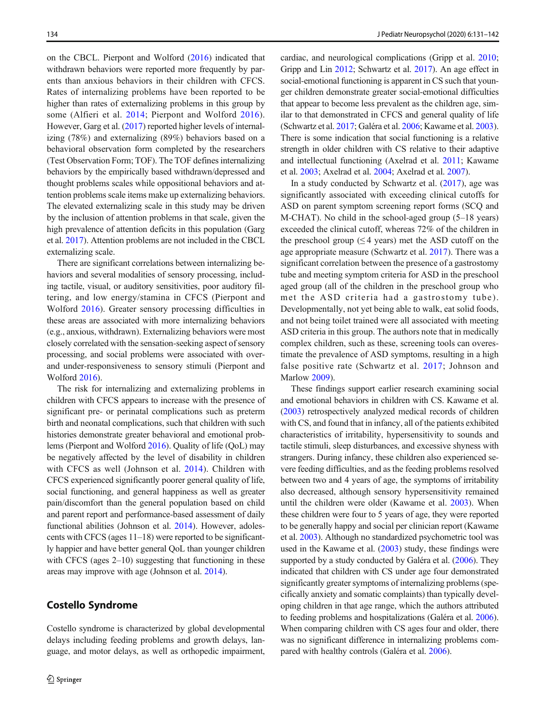on the CBCL. Pierpont and Wolford ([2016\)](#page-10-0) indicated that withdrawn behaviors were reported more frequently by parents than anxious behaviors in their children with CFCS. Rates of internalizing problems have been reported to be higher than rates of externalizing problems in this group by some (Alfieri et al. [2014](#page-8-0); Pierpont and Wolford [2016](#page-10-0)). However, Garg et al. [\(2017\)](#page-9-0) reported higher levels of internalizing (78%) and externalizing (89%) behaviors based on a behavioral observation form completed by the researchers (Test Observation Form; TOF). The TOF defines internalizing behaviors by the empirically based withdrawn/depressed and thought problems scales while oppositional behaviors and attention problems scale items make up externalizing behaviors. The elevated externalizing scale in this study may be driven by the inclusion of attention problems in that scale, given the high prevalence of attention deficits in this population (Garg et al. [2017](#page-9-0)). Attention problems are not included in the CBCL externalizing scale.

There are significant correlations between internalizing behaviors and several modalities of sensory processing, including tactile, visual, or auditory sensitivities, poor auditory filtering, and low energy/stamina in CFCS (Pierpont and Wolford [2016](#page-10-0)). Greater sensory processing difficulties in these areas are associated with more internalizing behaviors (e.g., anxious, withdrawn). Externalizing behaviors were most closely correlated with the sensation-seeking aspect of sensory processing, and social problems were associated with overand under-responsiveness to sensory stimuli (Pierpont and Wolford [2016](#page-10-0)).

The risk for internalizing and externalizing problems in children with CFCS appears to increase with the presence of significant pre- or perinatal complications such as preterm birth and neonatal complications, such that children with such histories demonstrate greater behavioral and emotional problems (Pierpont and Wolford [2016](#page-10-0)). Quality of life (QoL) may be negatively affected by the level of disability in children with CFCS as well (Johnson et al. [2014\)](#page-10-0). Children with CFCS experienced significantly poorer general quality of life, social functioning, and general happiness as well as greater pain/discomfort than the general population based on child and parent report and performance-based assessment of daily functional abilities (Johnson et al. [2014](#page-10-0)). However, adolescents with CFCS (ages 11–18) were reported to be significantly happier and have better general QoL than younger children with CFCS (ages 2–10) suggesting that functioning in these areas may improve with age (Johnson et al. [2014\)](#page-10-0).

## Costello Syndrome

Costello syndrome is characterized by global developmental delays including feeding problems and growth delays, language, and motor delays, as well as orthopedic impairment, cardiac, and neurological complications (Gripp et al. [2010;](#page-9-0) Gripp and Lin [2012](#page-9-0); Schwartz et al. [2017\)](#page-11-0). An age effect in social-emotional functioning is apparent in CS such that younger children demonstrate greater social-emotional difficulties that appear to become less prevalent as the children age, similar to that demonstrated in CFCS and general quality of life (Schwartz et al. [2017;](#page-11-0) Galéra et al. [2006](#page-9-0); Kawame et al. [2003\)](#page-10-0). There is some indication that social functioning is a relative strength in older children with CS relative to their adaptive and intellectual functioning (Axelrad et al. [2011;](#page-9-0) Kawame et al. [2003](#page-10-0); Axelrad et al. [2004](#page-8-0); Axelrad et al. [2007\)](#page-9-0).

In a study conducted by Schwartz et al.  $(2017)$  $(2017)$ , age was significantly associated with exceeding clinical cutoffs for ASD on parent symptom screening report forms (SCQ and M-CHAT). No child in the school-aged group (5–18 years) exceeded the clinical cutoff, whereas 72% of the children in the preschool group  $(≤ 4$  years) met the ASD cutoff on the age appropriate measure (Schwartz et al. [2017\)](#page-11-0). There was a significant correlation between the presence of a gastrostomy tube and meeting symptom criteria for ASD in the preschool aged group (all of the children in the preschool group who met the ASD criteria had a gastrostomy tube). Developmentally, not yet being able to walk, eat solid foods, and not being toilet trained were all associated with meeting ASD criteria in this group. The authors note that in medically complex children, such as these, screening tools can overestimate the prevalence of ASD symptoms, resulting in a high false positive rate (Schwartz et al. [2017](#page-11-0); Johnson and Marlow [2009](#page-9-0)).

These findings support earlier research examining social and emotional behaviors in children with CS. Kawame et al. [\(2003\)](#page-10-0) retrospectively analyzed medical records of children with CS, and found that in infancy, all of the patients exhibited characteristics of irritability, hypersensitivity to sounds and tactile stimuli, sleep disturbances, and excessive shyness with strangers. During infancy, these children also experienced severe feeding difficulties, and as the feeding problems resolved between two and 4 years of age, the symptoms of irritability also decreased, although sensory hypersensitivity remained until the children were older (Kawame et al. [2003](#page-10-0)). When these children were four to 5 years of age, they were reported to be generally happy and social per clinician report (Kawame et al. [2003\)](#page-10-0). Although no standardized psychometric tool was used in the Kawame et al. ([2003](#page-10-0)) study, these findings were supported by a study conducted by Galéra et al. ([2006](#page-9-0)). They indicated that children with CS under age four demonstrated significantly greater symptoms of internalizing problems (specifically anxiety and somatic complaints) than typically developing children in that age range, which the authors attributed to feeding problems and hospitalizations (Galéra et al. [2006\)](#page-9-0). When comparing children with CS ages four and older, there was no significant difference in internalizing problems compared with healthy controls (Galéra et al. [2006](#page-9-0)).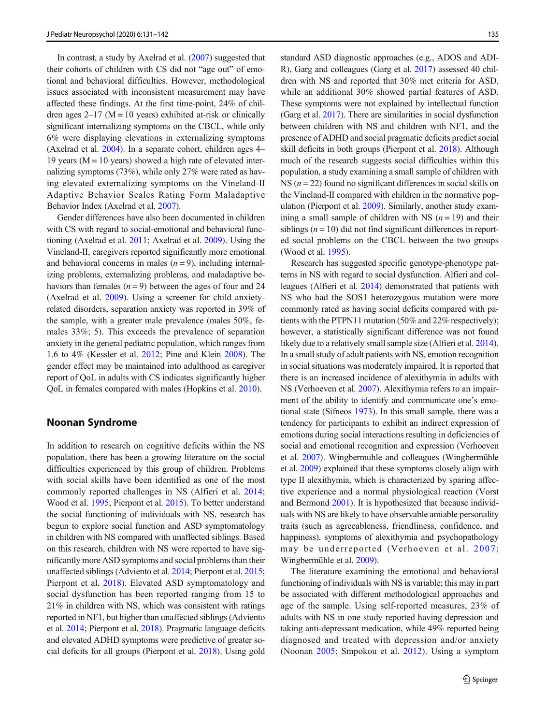In contrast, a study by Axelrad et al. ([2007](#page-9-0)) suggested that their cohorts of children with CS did not "age out" of emotional and behavioral difficulties. However, methodological issues associated with inconsistent measurement may have affected these findings. At the first time-point, 24% of children ages  $2-17$  (M = 10 years) exhibited at-risk or clinically significant internalizing symptoms on the CBCL, while only 6% were displaying elevations in externalizing symptoms (Axelrad et al. [2004\)](#page-8-0). In a separate cohort, children ages 4– 19 years ( $M = 10$  years) showed a high rate of elevated internalizing symptoms (73%), while only 27% were rated as having elevated externalizing symptoms on the Vineland-II Adaptive Behavior Scales Rating Form Maladaptive Behavior Index (Axelrad et al. [2007\)](#page-9-0).

Gender differences have also been documented in children with CS with regard to social-emotional and behavioral functioning (Axelrad et al. [2011;](#page-9-0) Axelrad et al. [2009](#page-9-0)). Using the Vineland-II, caregivers reported significantly more emotional and behavioral concerns in males  $(n = 9)$ , including internalizing problems, externalizing problems, and maladaptive behaviors than females  $(n = 9)$  between the ages of four and 24 (Axelrad et al. [2009\)](#page-9-0). Using a screener for child anxietyrelated disorders, separation anxiety was reported in 39% of the sample, with a greater male prevalence (males 50%, females 33%; 5). This exceeds the prevalence of separation anxiety in the general pediatric population, which ranges from 1.6 to 4% (Kessler et al. [2012](#page-10-0); Pine and Klein [2008\)](#page-10-0). The gender effect may be maintained into adulthood as caregiver report of QoL in adults with CS indicates significantly higher QoL in females compared with males (Hopkins et al. [2010](#page-9-0)).

#### Noonan Syndrome

In addition to research on cognitive deficits within the NS population, there has been a growing literature on the social difficulties experienced by this group of children. Problems with social skills have been identified as one of the most commonly reported challenges in NS (Alfieri et al. [2014](#page-8-0); Wood et al. [1995;](#page-11-0) Pierpont et al. [2015](#page-10-0)). To better understand the social functioning of individuals with NS, research has begun to explore social function and ASD symptomatology in children with NS compared with unaffected siblings. Based on this research, children with NS were reported to have significantly more ASD symptoms and social problems than their unaffected siblings (Adviento et al. [2014](#page-8-0); Pierpont et al. [2015](#page-10-0); Pierpont et al. [2018\)](#page-10-0). Elevated ASD symptomatology and social dysfunction has been reported ranging from 15 to 21% in children with NS, which was consistent with ratings reported in NF1, but higher than unaffected siblings (Adviento et al. [2014](#page-8-0); Pierpont et al. [2018\)](#page-10-0). Pragmatic language deficits and elevated ADHD symptoms were predictive of greater social deficits for all groups (Pierpont et al. [2018\)](#page-10-0). Using gold standard ASD diagnostic approaches (e.g., ADOS and ADI-R), Garg and colleagues (Garg et al. [2017\)](#page-9-0) assessed 40 children with NS and reported that 30% met criteria for ASD, while an additional 30% showed partial features of ASD. These symptoms were not explained by intellectual function (Garg et al. [2017\)](#page-9-0). There are similarities in social dysfunction between children with NS and children with NF1, and the presence of ADHD and social pragmatic deficits predict social skill deficits in both groups (Pierpont et al. [2018\)](#page-10-0). Although much of the research suggests social difficulties within this population, a study examining a small sample of children with NS ( $n = 22$ ) found no significant differences in social skills on the Vineland-II compared with children in the normative population (Pierpont et al. [2009](#page-10-0)). Similarly, another study examining a small sample of children with NS  $(n = 19)$  and their siblings  $(n = 10)$  did not find significant differences in reported social problems on the CBCL between the two groups (Wood et al. [1995\)](#page-11-0).

Research has suggested specific genotype-phenotype patterns in NS with regard to social dysfunction. Alfieri and colleagues (Alfieri et al. [2014](#page-8-0)) demonstrated that patients with NS who had the SOS1 heterozygous mutation were more commonly rated as having social deficits compared with patients with the PTPN11 mutation (50% and 22% respectively); however, a statistically significant difference was not found likely due to a relatively small sample size (Alfieri et al. [2014\)](#page-8-0). In a small study of adult patients with NS, emotion recognition in social situations was moderately impaired. It is reported that there is an increased incidence of alexithymia in adults with NS (Verhoeven et al. [2007\)](#page-11-0). Alexithymia refers to an impairment of the ability to identify and communicate one's emotional state (Sifneos [1973](#page-11-0)). In this small sample, there was a tendency for participants to exhibit an indirect expression of emotions during social interactions resulting in deficiencies of social and emotional recognition and expression (Verhoeven et al. [2007](#page-11-0)). Wingbermuhle and colleagues (Wingbermühle et al. [2009](#page-11-0)) explained that these symptoms closely align with type II alexithymia, which is characterized by sparing affective experience and a normal physiological reaction (Vorst and Bermond [2001\)](#page-11-0). It is hypothesized that because individuals with NS are likely to have observable amiable personality traits (such as agreeableness, friendliness, confidence, and happiness), symptoms of alexithymia and psychopathology may be underreported (Verhoeven et al. [2007;](#page-11-0) Wingbermühle et al. [2009](#page-11-0)).

The literature examining the emotional and behavioral functioning of individuals with NS is variable; this may in part be associated with different methodological approaches and age of the sample. Using self-reported measures, 23% of adults with NS in one study reported having depression and taking anti-depressant medication, while 49% reported being diagnosed and treated with depression and/or anxiety (Noonan [2005;](#page-10-0) Smpokou et al. [2012\)](#page-11-0). Using a symptom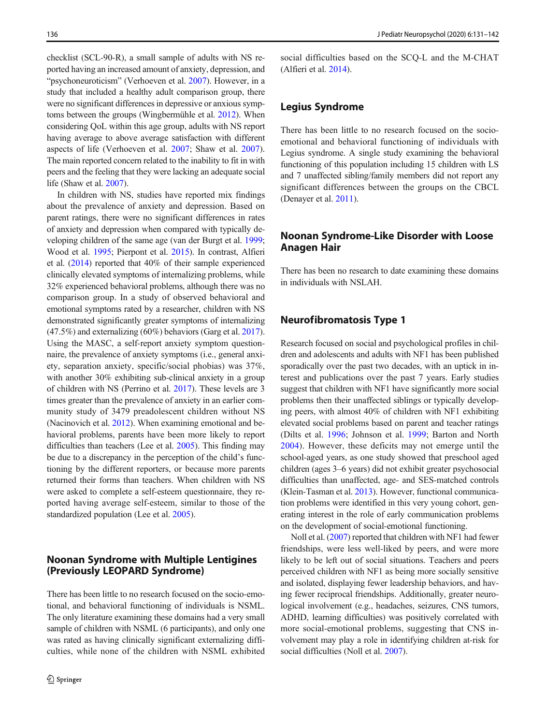checklist (SCL-90-R), a small sample of adults with NS reported having an increased amount of anxiety, depression, and "psychoneuroticism" (Verhoeven et al. [2007](#page-11-0)). However, in a study that included a healthy adult comparison group, there were no significant differences in depressive or anxious symptoms between the groups (Wingbermühle et al. [2012](#page-11-0)). When considering QoL within this age group, adults with NS report having average to above average satisfaction with different aspects of life (Verhoeven et al. [2007;](#page-11-0) Shaw et al. [2007](#page-11-0)). The main reported concern related to the inability to fit in with peers and the feeling that they were lacking an adequate social life (Shaw et al. [2007\)](#page-11-0).

In children with NS, studies have reported mix findings about the prevalence of anxiety and depression. Based on parent ratings, there were no significant differences in rates of anxiety and depression when compared with typically developing children of the same age (van der Burgt et al. [1999](#page-11-0); Wood et al. [1995](#page-11-0); Pierpont et al. [2015\)](#page-10-0). In contrast, Alfieri et al. [\(2014](#page-8-0)) reported that 40% of their sample experienced clinically elevated symptoms of internalizing problems, while 32% experienced behavioral problems, although there was no comparison group. In a study of observed behavioral and emotional symptoms rated by a researcher, children with NS demonstrated significantly greater symptoms of internalizing (47.5%) and externalizing (60%) behaviors (Garg et al. [2017\)](#page-9-0). Using the MASC, a self-report anxiety symptom questionnaire, the prevalence of anxiety symptoms (i.e., general anxiety, separation anxiety, specific/social phobias) was 37%, with another 30% exhibiting sub-clinical anxiety in a group of children with NS (Perrino et al. [2017](#page-10-0)). These levels are 3 times greater than the prevalence of anxiety in an earlier community study of 3479 preadolescent children without NS (Nacinovich et al. [2012\)](#page-10-0). When examining emotional and behavioral problems, parents have been more likely to report difficulties than teachers (Lee et al. [2005](#page-10-0)). This finding may be due to a discrepancy in the perception of the child's functioning by the different reporters, or because more parents returned their forms than teachers. When children with NS were asked to complete a self-esteem questionnaire, they reported having average self-esteem, similar to those of the standardized population (Lee et al. [2005\)](#page-10-0).

# Noonan Syndrome with Multiple Lentigines (Previously LEOPARD Syndrome)

There has been little to no research focused on the socio-emotional, and behavioral functioning of individuals is NSML. The only literature examining these domains had a very small sample of children with NSML (6 participants), and only one was rated as having clinically significant externalizing difficulties, while none of the children with NSML exhibited social difficulties based on the SCQ-L and the M-CHAT (Alfieri et al. [2014](#page-8-0)).

## Legius Syndrome

There has been little to no research focused on the socioemotional and behavioral functioning of individuals with Legius syndrome. A single study examining the behavioral functioning of this population including 15 children with LS and 7 unaffected sibling/family members did not report any significant differences between the groups on the CBCL (Denayer et al. [2011\)](#page-9-0).

# Noonan Syndrome-Like Disorder with Loose Anagen Hair

There has been no research to date examining these domains in individuals with NSLAH.

# Neurofibromatosis Type 1

Research focused on social and psychological profiles in children and adolescents and adults with NF1 has been published sporadically over the past two decades, with an uptick in interest and publications over the past 7 years. Early studies suggest that children with NF1 have significantly more social problems then their unaffected siblings or typically developing peers, with almost 40% of children with NF1 exhibiting elevated social problems based on parent and teacher ratings (Dilts et al. [1996](#page-9-0); Johnson et al. [1999](#page-9-0); Barton and North [2004](#page-9-0)). However, these deficits may not emerge until the school-aged years, as one study showed that preschool aged children (ages 3–6 years) did not exhibit greater psychosocial difficulties than unaffected, age- and SES-matched controls (Klein-Tasman et al. [2013\)](#page-10-0). However, functional communication problems were identified in this very young cohort, generating interest in the role of early communication problems on the development of social-emotional functioning.

Noll et al. ([2007](#page-10-0)) reported that children with NF1 had fewer friendships, were less well-liked by peers, and were more likely to be left out of social situations. Teachers and peers perceived children with NF1 as being more socially sensitive and isolated, displaying fewer leadership behaviors, and having fewer reciprocal friendships. Additionally, greater neurological involvement (e.g., headaches, seizures, CNS tumors, ADHD, learning difficulties) was positively correlated with more social-emotional problems, suggesting that CNS involvement may play a role in identifying children at-risk for social difficulties (Noll et al. [2007](#page-10-0)).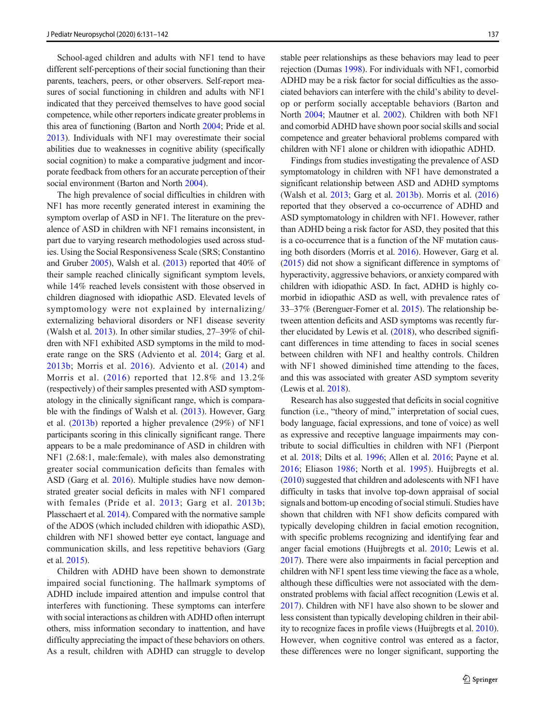School-aged children and adults with NF1 tend to have different self-perceptions of their social functioning than their parents, teachers, peers, or other observers. Self-report measures of social functioning in children and adults with NF1 indicated that they perceived themselves to have good social competence, while other reporters indicate greater problems in this area of functioning (Barton and North [2004;](#page-9-0) Pride et al. [2013\)](#page-10-0). Individuals with NF1 may overestimate their social abilities due to weaknesses in cognitive ability (specifically social cognition) to make a comparative judgment and incorporate feedback from others for an accurate perception of their social environment (Barton and North [2004](#page-9-0)).

The high prevalence of social difficulties in children with NF1 has more recently generated interest in examining the symptom overlap of ASD in NF1. The literature on the prevalence of ASD in children with NF1 remains inconsistent, in part due to varying research methodologies used across studies. Using the Social Responsiveness Scale (SRS; Constantino and Gruber [2005](#page-9-0)), Walsh et al. [\(2013\)](#page-11-0) reported that 40% of their sample reached clinically significant symptom levels, while 14% reached levels consistent with those observed in children diagnosed with idiopathic ASD. Elevated levels of symptomology were not explained by internalizing/ externalizing behavioral disorders or NF1 disease severity (Walsh et al. [2013\)](#page-11-0). In other similar studies, 27–39% of children with NF1 exhibited ASD symptoms in the mild to moderate range on the SRS (Adviento et al. [2014;](#page-8-0) Garg et al. [2013b](#page-9-0); Morris et al. [2016](#page-10-0)). Adviento et al. ([2014\)](#page-8-0) and Morris et al. ([2016\)](#page-10-0) reported that 12.8% and 13.2% (respectively) of their samples presented with ASD symptomatology in the clinically significant range, which is comparable with the findings of Walsh et al. [\(2013\)](#page-11-0). However, Garg et al. [\(2013b](#page-9-0)) reported a higher prevalence (29%) of NF1 participants scoring in this clinically significant range. There appears to be a male predominance of ASD in children with NF1 (2.68:1, male:female), with males also demonstrating greater social communication deficits than females with ASD (Garg et al. [2016](#page-9-0)). Multiple studies have now demonstrated greater social deficits in males with NF1 compared with females (Pride et al. [2013](#page-10-0); Garg et al. [2013b](#page-9-0); Plasschaert et al. [2014\)](#page-10-0). Compared with the normative sample of the ADOS (which included children with idiopathic ASD), children with NF1 showed better eye contact, language and communication skills, and less repetitive behaviors (Garg et al. [2015](#page-9-0)).

Children with ADHD have been shown to demonstrate impaired social functioning. The hallmark symptoms of ADHD include impaired attention and impulse control that interferes with functioning. These symptoms can interfere with social interactions as children with ADHD often interrupt others, miss information secondary to inattention, and have difficulty appreciating the impact of these behaviors on others. As a result, children with ADHD can struggle to develop stable peer relationships as these behaviors may lead to peer rejection (Dumas [1998](#page-9-0)). For individuals with NF1, comorbid ADHD may be a risk factor for social difficulties as the associated behaviors can interfere with the child's ability to develop or perform socially acceptable behaviors (Barton and North [2004](#page-9-0); Mautner et al. [2002](#page-10-0)). Children with both NF1 and comorbid ADHD have shown poor social skills and social competence and greater behavioral problems compared with children with NF1 alone or children with idiopathic ADHD.

Findings from studies investigating the prevalence of ASD symptomatology in children with NF1 have demonstrated a significant relationship between ASD and ADHD symptoms (Walsh et al. [2013](#page-11-0); Garg et al. [2013b\)](#page-9-0). Morris et al. [\(2016](#page-10-0)) reported that they observed a co-occurrence of ADHD and ASD symptomatology in children with NF1. However, rather than ADHD being a risk factor for ASD, they posited that this is a co-occurrence that is a function of the NF mutation causing both disorders (Morris et al. [2016\)](#page-10-0). However, Garg et al. [\(2015\)](#page-9-0) did not show a significant difference in symptoms of hyperactivity, aggressive behaviors, or anxiety compared with children with idiopathic ASD. In fact, ADHD is highly comorbid in idiopathic ASD as well, with prevalence rates of 33–37% (Berenguer-Forner et al. [2015\)](#page-9-0). The relationship between attention deficits and ASD symptoms was recently further elucidated by Lewis et al. ([2018](#page-10-0)), who described significant differences in time attending to faces in social scenes between children with NF1 and healthy controls. Children with NF1 showed diminished time attending to the faces, and this was associated with greater ASD symptom severity (Lewis et al. [2018\)](#page-10-0).

Research has also suggested that deficits in social cognitive function (i.e., "theory of mind," interpretation of social cues, body language, facial expressions, and tone of voice) as well as expressive and receptive language impairments may contribute to social difficulties in children with NF1 (Pierpont et al. [2018](#page-10-0); Dilts et al. [1996;](#page-9-0) Allen et al. [2016;](#page-8-0) Payne et al. [2016](#page-10-0); Eliason [1986;](#page-9-0) North et al. [1995](#page-10-0)). Huijbregts et al. [\(2010\)](#page-9-0) suggested that children and adolescents with NF1 have difficulty in tasks that involve top-down appraisal of social signals and bottom-up encoding of social stimuli. Studies have shown that children with NF1 show deficits compared with typically developing children in facial emotion recognition, with specific problems recognizing and identifying fear and anger facial emotions (Huijbregts et al. [2010;](#page-9-0) Lewis et al. [2017\)](#page-10-0). There were also impairments in facial perception and children with NF1 spent less time viewing the face as a whole, although these difficulties were not associated with the demonstrated problems with facial affect recognition (Lewis et al. [2017\)](#page-10-0). Children with NF1 have also shown to be slower and less consistent than typically developing children in their ability to recognize faces in profile views (Huijbregts et al. [2010\)](#page-9-0). However, when cognitive control was entered as a factor, these differences were no longer significant, supporting the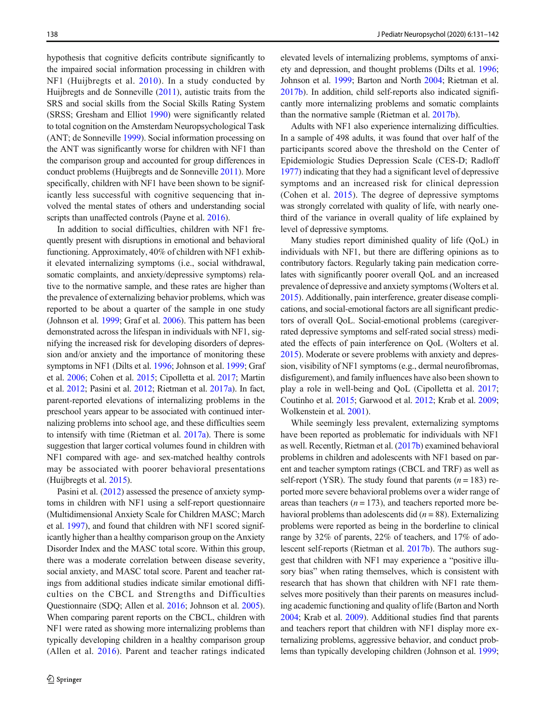hypothesis that cognitive deficits contribute significantly to the impaired social information processing in children with NF1 (Huijbregts et al. [2010\)](#page-9-0). In a study conducted by Huijbregts and de Sonneville [\(2011\)](#page-9-0), autistic traits from the SRS and social skills from the Social Skills Rating System (SRSS; Gresham and Elliot [1990\)](#page-9-0) were significantly related to total cognition on the Amsterdam Neuropsychological Task (ANT; de Sonneville [1999\)](#page-9-0). Social information processing on the ANT was significantly worse for children with NF1 than the comparison group and accounted for group differences in conduct problems (Huijbregts and de Sonneville [2011](#page-9-0)). More specifically, children with NF1 have been shown to be significantly less successful with cognitive sequencing that involved the mental states of others and understanding social scripts than unaffected controls (Payne et al. [2016\)](#page-10-0).

In addition to social difficulties, children with NF1 frequently present with disruptions in emotional and behavioral functioning. Approximately, 40% of children with NF1 exhibit elevated internalizing symptoms (i.e., social withdrawal, somatic complaints, and anxiety/depressive symptoms) relative to the normative sample, and these rates are higher than the prevalence of externalizing behavior problems, which was reported to be about a quarter of the sample in one study (Johnson et al. [1999](#page-9-0); Graf et al. [2006](#page-9-0)). This pattern has been demonstrated across the lifespan in individuals with NF1, signifying the increased risk for developing disorders of depression and/or anxiety and the importance of monitoring these symptoms in NF1 (Dilts et al. [1996](#page-9-0); Johnson et al. [1999;](#page-9-0) Graf et al. [2006;](#page-9-0) Cohen et al. [2015;](#page-9-0) Cipolletta et al. [2017](#page-9-0); Martin et al. [2012;](#page-10-0) Pasini et al. [2012;](#page-10-0) Rietman et al. [2017a](#page-10-0)). In fact, parent-reported elevations of internalizing problems in the preschool years appear to be associated with continued internalizing problems into school age, and these difficulties seem to intensify with time (Rietman et al. [2017a\)](#page-10-0). There is some suggestion that larger cortical volumes found in children with NF1 compared with age- and sex-matched healthy controls may be associated with poorer behavioral presentations (Huijbregts et al. [2015\)](#page-9-0).

Pasini et al. ([2012](#page-10-0)) assessed the presence of anxiety symptoms in children with NF1 using a self-report questionnaire (Multidimensional Anxiety Scale for Children MASC; March et al. [1997\)](#page-10-0), and found that children with NF1 scored significantly higher than a healthy comparison group on the Anxiety Disorder Index and the MASC total score. Within this group, there was a moderate correlation between disease severity, social anxiety, and MASC total score. Parent and teacher ratings from additional studies indicate similar emotional difficulties on the CBCL and Strengths and Difficulties Questionnaire (SDQ; Allen et al. [2016;](#page-8-0) Johnson et al. [2005\)](#page-10-0). When comparing parent reports on the CBCL, children with NF1 were rated as showing more internalizing problems than typically developing children in a healthy comparison group (Allen et al. [2016](#page-8-0)). Parent and teacher ratings indicated elevated levels of internalizing problems, symptoms of anxiety and depression, and thought problems (Dilts et al. [1996;](#page-9-0) Johnson et al. [1999;](#page-9-0) Barton and North [2004;](#page-9-0) Rietman et al. [2017b\)](#page-11-0). In addition, child self-reports also indicated significantly more internalizing problems and somatic complaints than the normative sample (Rietman et al. [2017b](#page-11-0)).

Adults with NF1 also experience internalizing difficulties. In a sample of 498 adults, it was found that over half of the participants scored above the threshold on the Center of Epidemiologic Studies Depression Scale (CES-D; Radloff [1977\)](#page-10-0) indicating that they had a significant level of depressive symptoms and an increased risk for clinical depression (Cohen et al. [2015\)](#page-9-0). The degree of depressive symptoms was strongly correlated with quality of life, with nearly onethird of the variance in overall quality of life explained by level of depressive symptoms.

Many studies report diminished quality of life (QoL) in individuals with NF1, but there are differing opinions as to contributory factors. Regularly taking pain medication correlates with significantly poorer overall QoL and an increased prevalence of depressive and anxiety symptoms (Wolters et al. [2015\)](#page-11-0). Additionally, pain interference, greater disease complications, and social-emotional factors are all significant predictors of overall QoL. Social-emotional problems (caregiverrated depressive symptoms and self-rated social stress) mediated the effects of pain interference on QoL (Wolters et al. [2015\)](#page-11-0). Moderate or severe problems with anxiety and depression, visibility of NF1 symptoms (e.g., dermal neurofibromas, disfigurement), and family influences have also been shown to play a role in well-being and QoL (Cipolletta et al. [2017;](#page-9-0) Coutinho et al. [2015;](#page-9-0) Garwood et al. [2012](#page-9-0); Krab et al. [2009;](#page-10-0) Wolkenstein et al. [2001\)](#page-11-0).

While seemingly less prevalent, externalizing symptoms have been reported as problematic for individuals with NF1 as well. Recently, Rietman et al. [\(2017b\)](#page-11-0) examined behavioral problems in children and adolescents with NF1 based on parent and teacher symptom ratings (CBCL and TRF) as well as self-report (YSR). The study found that parents ( $n = 183$ ) reported more severe behavioral problems over a wider range of areas than teachers  $(n = 173)$ , and teachers reported more behavioral problems than adolescents did  $(n = 88)$ . Externalizing problems were reported as being in the borderline to clinical range by 32% of parents, 22% of teachers, and 17% of adolescent self-reports (Rietman et al. [2017b\)](#page-11-0). The authors suggest that children with NF1 may experience a "positive illusory bias" when rating themselves, which is consistent with research that has shown that children with NF1 rate themselves more positively than their parents on measures including academic functioning and quality of life (Barton and North [2004;](#page-9-0) Krab et al. [2009\)](#page-10-0). Additional studies find that parents and teachers report that children with NF1 display more externalizing problems, aggressive behavior, and conduct problems than typically developing children (Johnson et al. [1999;](#page-9-0)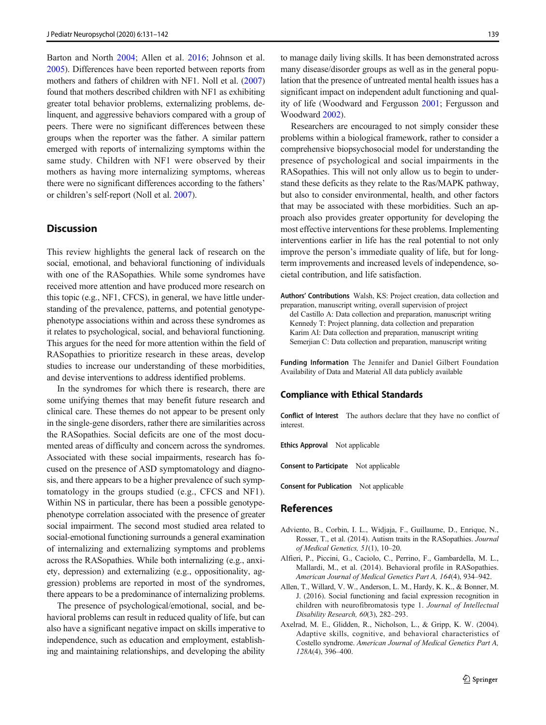<span id="page-8-0"></span>Barton and North [2004;](#page-9-0) Allen et al. 2016; Johnson et al. [2005\)](#page-10-0). Differences have been reported between reports from mothers and fathers of children with NF1. Noll et al. [\(2007\)](#page-10-0) found that mothers described children with NF1 as exhibiting greater total behavior problems, externalizing problems, delinquent, and aggressive behaviors compared with a group of peers. There were no significant differences between these groups when the reporter was the father. A similar pattern emerged with reports of internalizing symptoms within the same study. Children with NF1 were observed by their mothers as having more internalizing symptoms, whereas there were no significant differences according to the fathers' or children's self-report (Noll et al. [2007](#page-10-0)).

#### **Discussion**

This review highlights the general lack of research on the social, emotional, and behavioral functioning of individuals with one of the RASopathies. While some syndromes have received more attention and have produced more research on this topic (e.g., NF1, CFCS), in general, we have little understanding of the prevalence, patterns, and potential genotypephenotype associations within and across these syndromes as it relates to psychological, social, and behavioral functioning. This argues for the need for more attention within the field of RASopathies to prioritize research in these areas, develop studies to increase our understanding of these morbidities, and devise interventions to address identified problems.

In the syndromes for which there is research, there are some unifying themes that may benefit future research and clinical care. These themes do not appear to be present only in the single-gene disorders, rather there are similarities across the RASopathies. Social deficits are one of the most documented areas of difficulty and concern across the syndromes. Associated with these social impairments, research has focused on the presence of ASD symptomatology and diagnosis, and there appears to be a higher prevalence of such symptomatology in the groups studied (e.g., CFCS and NF1). Within NS in particular, there has been a possible genotypephenotype correlation associated with the presence of greater social impairment. The second most studied area related to social-emotional functioning surrounds a general examination of internalizing and externalizing symptoms and problems across the RASopathies. While both internalizing (e.g., anxiety, depression) and externalizing (e.g., oppositionality, aggression) problems are reported in most of the syndromes, there appears to be a predominance of internalizing problems.

The presence of psychological/emotional, social, and behavioral problems can result in reduced quality of life, but can also have a significant negative impact on skills imperative to independence, such as education and employment, establishing and maintaining relationships, and developing the ability

to manage daily living skills. It has been demonstrated across many disease/disorder groups as well as in the general population that the presence of untreated mental health issues has a significant impact on independent adult functioning and quality of life (Woodward and Fergusson [2001;](#page-11-0) Fergusson and Woodward [2002\)](#page-9-0).

Researchers are encouraged to not simply consider these problems within a biological framework, rather to consider a comprehensive biopsychosocial model for understanding the presence of psychological and social impairments in the RASopathies. This will not only allow us to begin to understand these deficits as they relate to the Ras/MAPK pathway, but also to consider environmental, health, and other factors that may be associated with these morbidities. Such an approach also provides greater opportunity for developing the most effective interventions for these problems. Implementing interventions earlier in life has the real potential to not only improve the person's immediate quality of life, but for longterm improvements and increased levels of independence, societal contribution, and life satisfaction.

Authors' Contributions Walsh, KS: Project creation, data collection and preparation, manuscript writing, overall supervision of project

del Castillo A: Data collection and preparation, manuscript writing Kennedy T: Project planning, data collection and preparation Karim AI: Data collection and preparation, manuscript writing Semerjian C: Data collection and preparation, manuscript writing

Funding Information The Jennifer and Daniel Gilbert Foundation Availability of Data and Material All data publicly available

#### Compliance with Ethical Standards

Conflict of Interest The authors declare that they have no conflict of interest.

Ethics Approval Not applicable

Consent to Participate Not applicable

Consent for Publication Not applicable

#### References

- Adviento, B., Corbin, I. L., Widjaja, F., Guillaume, D., Enrique, N., Rosser, T., et al. (2014). Autism traits in the RASopathies. Journal of Medical Genetics, 51(1), 10–20.
- Alfieri, P., Piccini, G., Caciolo, C., Perrino, F., Gambardella, M. L., Mallardi, M., et al. (2014). Behavioral profile in RASopathies. American Journal of Medical Genetics Part A, 164(4), 934–942.
- Allen, T., Willard, V. W., Anderson, L. M., Hardy, K. K., & Bonner, M. J. (2016). Social functioning and facial expression recognition in children with neurofibromatosis type 1. Journal of Intellectual Disability Research, 60(3), 282–293.
- Axelrad, M. E., Glidden, R., Nicholson, L., & Gripp, K. W. (2004). Adaptive skills, cognitive, and behavioral characteristics of Costello syndrome. American Journal of Medical Genetics Part A, 128A(4), 396–400.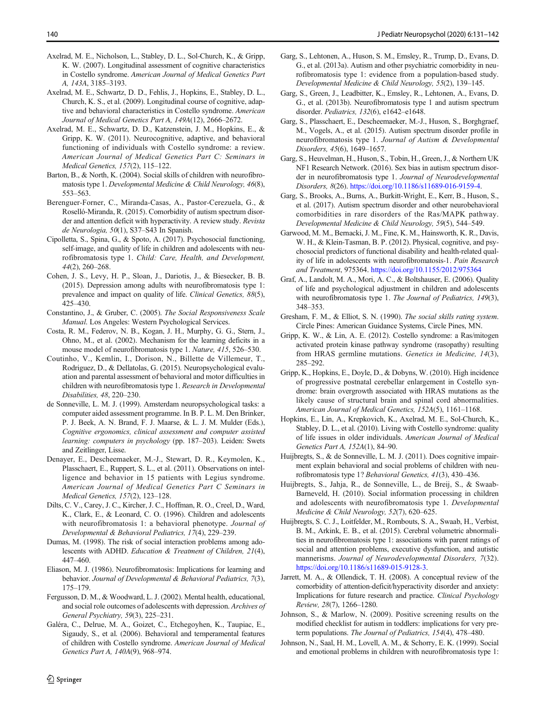- <span id="page-9-0"></span>Axelrad, M. E., Nicholson, L., Stabley, D. L., Sol-Church, K., & Gripp, K. W. (2007). Longitudinal assessment of cognitive characteristics in Costello syndrome. American Journal of Medical Genetics Part A, 143A, 3185–3193.
- Axelrad, M. E., Schwartz, D. D., Fehlis, J., Hopkins, E., Stabley, D. L., Church, K. S., et al. (2009). Longitudinal course of cognitive, adaptive and behavioral characteristics in Costello syndrome. American Journal of Medical Genetics Part A, 149A(12), 2666–2672.
- Axelrad, M. E., Schwartz, D. D., Katzenstein, J. M., Hopkins, E., & Gripp, K. W. (2011). Neurocognitive, adaptive, and behavioral functioning of individuals with Costello syndrome: a review. American Journal of Medical Genetics Part C: Seminars in Medical Genetics, 157(2), 115–122.
- Barton, B., & North, K. (2004). Social skills of children with neurofibromatosis type 1. Developmental Medicine & Child Neurology, 46(8), 553–563.
- Berenguer-Forner, C., Miranda-Casas, A., Pastor-Cerezuela, G., & Roselló-Miranda, R. (2015). Comorbidity of autism spectrum disorder and attention deficit with hyperactivity. A review study. Revista de Neurologia, 50(1), S37–S43 In Spanish.
- Cipolletta, S., Spina, G., & Spoto, A. (2017). Psychosocial functioning, self-image, and quality of life in children and adolescents with neurofibromatosis type 1. Child: Care, Health, and Development, 44(2), 260–268.
- Cohen, J. S., Levy, H. P., Sloan, J., Dariotis, J., & Biesecker, B. B. (2015). Depression among adults with neurofibromatosis type 1: prevalence and impact on quality of life. Clinical Genetics, 88(5), 425–430.
- Constantino, J., & Gruber, C. (2005). The Social Responsiveness Scale Manual. Los Angeles: Western Psychological Services.
- Costa, R. M., Federov, N. B., Kogan, J. H., Murphy, G. G., Stern, J., Ohno, M., et al. (2002). Mechanism for the learning deficits in a mouse model of neurofibromatosis type 1. Nature, 415, 526–530.
- Coutinho, V., Kemlin, I., Dorison, N., Billette de Villemeur, T., Rodriguez, D., & Dellatolas, G. (2015). Neuropsychological evaluation and parental assessment of behavioral and motor difficulties in children with neurofibromatosis type 1. Research in Developmental Disabilities, 48, 220–230.
- de Sonneville, L. M. J. (1999). Amsterdam neuropsychological tasks: a computer aided assessment programme. In B. P. L. M. Den Brinker, P. J. Beek, A. N. Brand, F. J. Maarse, & L. J. M. Mulder (Eds.), Cognitive ergonomics, clinical assessment and computer assisted learning: computers in psychology (pp. 187-203). Leiden: Swets and Zeitlinger, Lisse.
- Denayer, E., Descheemaeker, M.-J., Stewart, D. R., Keymolen, K., Plasschaert, E., Ruppert, S. L., et al. (2011). Observations on intelligence and behavior in 15 patients with Legius syndrome. American Journal of Medical Genetics Part C Seminars in Medical Genetics, 157(2), 123–128.
- Dilts, C. V., Carey, J. C., Kircher, J. C., Hoffman, R. O., Creel, D., Ward, K., Clark, E., & Leonard, C. O. (1996). Children and adolescents with neurofibromatosis 1: a behavioral phenotype. Journal of Developmental & Behavioral Pediatrics, 17(4), 229–239.
- Dumas, M. (1998). The risk of social interaction problems among adolescents with ADHD. Education & Treatment of Children, 21(4), 447–460.
- Eliason, M. J. (1986). Neurofibromatosis: Implications for learning and behavior. Journal of Developmental & Behavioral Pediatrics, 7(3), 175–179.
- Fergusson, D. M., & Woodward, L. J. (2002). Mental health, educational, and social role outcomes of adolescents with depression. Archives of General Psychiatry, 59(3), 225–231.
- Galéra, C., Delrue, M. A., Goizet, C., Etchegoyhen, K., Taupiac, E., Sigaudy, S., et al. (2006). Behavioral and temperamental features of children with Costello syndrome. American Journal of Medical Genetics Part A, 140A(9), 968–974.
- Garg, S., Lehtonen, A., Huson, S. M., Emsley, R., Trump, D., Evans, D. G., et al. (2013a). Autism and other psychiatric comorbidity in neurofibromatosis type 1: evidence from a population-based study. Developmental Medicine & Child Neurology, 55(2), 139–145.
- Garg, S., Green, J., Leadbitter, K., Emsley, R., Lehtonen, A., Evans, D. G., et al. (2013b). Neurofibromatosis type 1 and autism spectrum disorder. Pediatrics, 132(6), e1642–e1648.
- Garg, S., Plasschaert, E., Descheemaeker, M.-J., Huson, S., Borghgraef, M., Vogels, A., et al. (2015). Autism spectrum disorder profile in neurofibromatosis type 1. Journal of Autism & Developmental Disorders, 45(6), 1649–1657.
- Garg, S., Heuvelman, H., Huson, S., Tobin, H., Green, J., & Northern UK NF1 Research Network. (2016). Sex bias in autism spectrum disorder in neurofibromatosis type 1. Journal of Neurodevelopmental Disorders, 8(26). [https://doi.org/10.1186/s11689-016-9159-4.](https://doi.org/10.1186/s11689-016-9159-4)
- Garg, S., Brooks, A., Burns, A., Burkitt-Wright, E., Kerr, B., Huson, S., et al. (2017). Autism spectrum disorder and other neurobehavioral comorbidities in rare disorders of the Ras/MAPK pathway. Developmental Medicine & Child Neurology, 59(5), 544–549.
- Garwood, M. M., Bernacki, J. M., Fine, K. M., Hainsworth, K. R., Davis, W. H., & Klein-Tasman, B. P. (2012). Physical, cognitive, and psychosocial predictors of functional disability and health-related quality of life in adolescents with neurofibromatosis-1. Pain Research and Treatment, 975364. <https://doi.org/10.1155/2012/975364>
- Graf, A., Landolt, M. A., Mori, A. C., & Boltshauser, E. (2006). Quality of life and psychological adjustment in children and adolescents with neurofibromatosis type 1. The Journal of Pediatrics, 149(3), 348–353.
- Gresham, F. M., & Elliot, S. N. (1990). The social skills rating system. Circle Pines: American Guidance Systems, Circle Pines, MN.
- Gripp, K. W., & Lin, A. E. (2012). Costello syndrome: a Ras/mitogen activated protein kinase pathway syndrome (rasopathy) resulting from HRAS germline mutations. Genetics in Medicine, 14(3), 285–292.
- Gripp, K., Hopkins, E., Doyle, D., & Dobyns, W. (2010). High incidence of progressive postnatal cerebellar enlargement in Costello syndrome: brain overgrowth associated with HRAS mutations as the likely cause of structural brain and spinal cord abnormalities. American Journal of Medical Genetics, 152A(5), 1161–1168.
- Hopkins, E., Lin, A., Krepkovich, K., Axelrad, M. E., Sol-Church, K., Stabley, D. L., et al. (2010). Living with Costello syndrome: quality of life issues in older individuals. American Journal of Medical Genetics Part A, 152A(1), 84–90.
- Huijbregts, S., & de Sonneville, L. M. J. (2011). Does cognitive impairment explain behavioral and social problems of children with neurofibromatosis type 1? Behavioral Genetics, 41(3), 430–436.
- Huijbregts, S., Jahja, R., de Sonneville, L., de Breij, S., & Swaab-Barneveld, H. (2010). Social information processing in children and adolescents with neurofibromatosis type 1. Developmental Medicine & Child Neurology, 52(7), 620–625.
- Huijbregts, S. C. J., Loitfelder, M., Rombouts, S. A., Swaab, H., Verbist, B. M., Arkink, E. B., et al. (2015). Cerebral volumetric abnormalities in neurofibromatosis type 1: associations with parent ratings of social and attention problems, executive dysfunction, and autistic mannerisms. Journal of Neurodevelopmental Disorders, 7(32). [https://doi.org/10.1186/s11689-015-9128-3.](https://doi.org/10.1186/s11689-015-9128-3)
- Jarrett, M. A., & Ollendick, T. H. (2008). A conceptual review of the comorbidity of attention-deficit/hyperactivity disorder and anxiety: Implications for future research and practice. Clinical Psychology Review, 28(7), 1266–1280.
- Johnson, S., & Marlow, N. (2009). Positive screening results on the modified checklist for autism in toddlers: implications for very preterm populations. The Journal of Pediatrics, 154(4), 478–480.
- Johnson, N., Saal, H. M., Lovell, A. M., & Schorry, E. K. (1999). Social and emotional problems in children with neurofibromatosis type 1: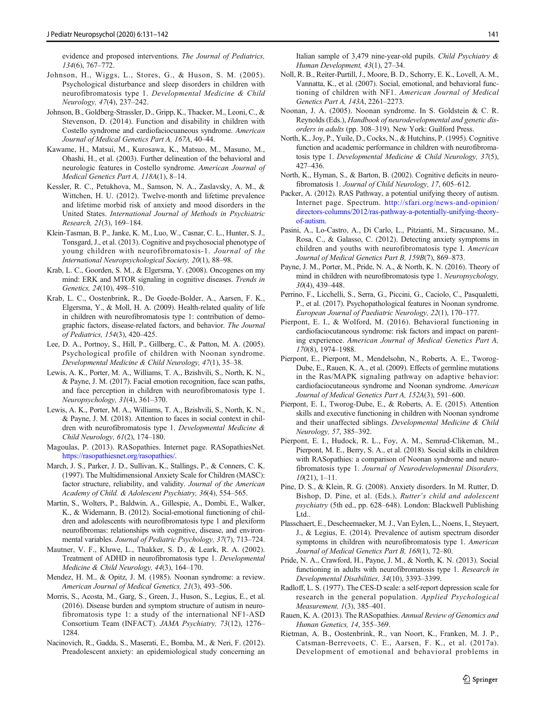<span id="page-10-0"></span>evidence and proposed interventions. The Journal of Pediatrics, 134(6), 767–772.

- Johnson, H., Wiggs, L., Stores, G., & Huson, S. M. (2005). Psychological disturbance and sleep disorders in children with neurofibromatosis type 1. Developmental Medicine & Child Neurology, 47(4), 237–242.
- Johnson, B., Goldberg-Strassler, D., Gripp, K., Thacker, M., Leoni, C., & Stevenson, D. (2014). Function and disability in children with Costello syndrome and cardiofaciocuaneous syndrome. American Journal of Medical Genetics Part A, 167A, 40–44.
- Kawame, H., Matsui, M., Kurosawa, K., Matsuo, M., Masuno, M., Ohashi, H., et al. (2003). Further delineation of the behavioral and neurologic features in Costello syndrome. American Journal of Medical Genetics Part A, 118A(1), 8–14.
- Kessler, R. C., Petukhova, M., Samson, N. A., Zaslavsky, A. M., & Wittchen, H. U. (2012). Twelve-month and lifetime prevalence and lifetime morbid risk of anxiety and mood disorders in the United States. International Journal of Methods in Psychiatric Research, 21(3), 169–184.
- Klein-Tasman, B. P., Janke, K. M., Luo, W., Casnar, C. L., Hunter, S. J., Tonsgard, J., et al. (2013). Cognitive and psychosocial phenotype of young children with neurofibromatosis-1. Journal of the International Neuropsychological Society, 20(1), 88–98.
- Krab, L. C., Goorden, S. M., & Elgersma, Y. (2008). Oncogenes on my mind: ERK and MTOR signaling in cognitive diseases. Trends in Genetics, 24(10), 498–510.
- Krab, L. C., Oostenbrink, R., De Goede-Bolder, A., Aarsen, F. K., Elgersma, Y., & Moll, H. A. (2009). Health-related quality of life in children with neurofibromatosis type 1: contribution of demographic factors, disease-related factors, and behavior. The Journal of Pediatrics, 154(3), 420–425.
- Lee, D. A., Portnoy, S., Hill, P., Gillberg, C., & Patton, M. A. (2005). Psychological profile of children with Noonan syndrome. Developmental Medicine & Child Neurology, 47(1), 35–38.
- Lewis, A. K., Porter, M. A., Williams, T. A., Bzishvili, S., North, K. N., & Payne, J. M. (2017). Facial emotion recognition, face scan paths, and face perception in children with neurofibromatosis type 1. Neuropsychology, 31(4), 361–370.
- Lewis, A. K., Porter, M. A., Williams, T. A., Bzishvili, S., North, K. N., & Payne, J. M. (2018). Attention to faces in social context in children with neurofibromatosis type 1. Developmental Medicine & Child Neurology, 61(2), 174–180.
- Magoulas, P. (2013). RASopathies. Internet page. RASopathiesNet. https://rasopathiesnet.org/rasopathies/.
- March, J. S., Parker, J. D., Sullivan, K., Stallings, P., & Conners, C. K. (1997). The Multidimensional Anxiety Scale for Children (MASC): factor structure, reliability, and validity. Journal of the American Academy of Child. & Adolescent Psychiatry, 36(4), 554–565.
- Martin, S., Wolters, P., Baldwin, A., Gillespie, A., Dombi, E., Walker, K., & Widemann, B. (2012). Social-emotional functioning of children and adolescents with neurofibromatosis type 1 and plexiform neurofibromas: relationships with cognitive, disease, and environmental variables. Journal of Pediatric Psychology, 37(7), 713–724.
- Mautner, V. F., Kluwe, L., Thakker, S. D., & Leark, R. A. (2002). Treatment of ADHD in neurofibromatosis type 1. Developmental Medicine & Child Neurology, 44(3), 164–170.
- Mendez, H. M., & Opitz, J. M. (1985). Noonan syndrome: a review. American Journal of Medical Genetics, 21(3), 493–506.
- Morris, S., Acosta, M., Garg, S., Green, J., Huson, S., Legius, E., et al. (2016). Disease burden and symptom structure of autism in neurofibromatosis type 1: a study of the international NF1-ASD Consortium Team (INFACT). JAMA Psychiatry, 73(12), 1276– 1284.
- Nacinovich, R., Gadda, S., Maserati, E., Bomba, M., & Neri, F. (2012). Preadolescent anxiety: an epidemiological study concerning an

Italian sample of 3,479 nine-year-old pupils. Child Psychiatry & Human Development, 43(1), 27–34.

- Noll, R. B., Reiter-Purtill, J., Moore, B. D., Schorry, E. K., Lovell, A. M., Vannatta, K., et al. (2007). Social, emotional, and behavioral functioning of children with NF1. American Journal of Medical Genetics Part A, 143A, 2261–2273.
- Noonan, J. A. (2005). Noonan syndrome. In S. Goldstein & C. R. Reynolds (Eds.), Handbook of neurodevelopmental and genetic disorders in adults (pp. 308–319). New York: Guilford Press.
- North, K., Joy, P., Yuile, D., Cocks, N., & Hutchins, P. (1995). Cognitive function and academic performance in children with neurofibromatosis type 1. Developmental Medicine & Child Neurology, 37(5), 427–436.
- North, K., Hyman, S., & Barton, B. (2002). Cognitive deficits in neurofibromatosis 1. Journal of Child Neurology, 17, 605–612.
- Packer, A. (2012). RAS Pathway, a potential unifying theory of autism. Internet page. Spectrum. http://sfari.org/news-and-opinion/ directors-columns/2012/ras-pathway-a-potentially-unifying-theoryof-autism.
- Pasini, A., Lo-Castro, A., Di Carlo, L., Pitzianti, M., Siracusano, M., Rosa, C., & Galasso, C. (2012). Detecting anxiety symptoms in children and youths with neurofibromatosis type I. American Journal of Medical Genetics Part B, 159B(7), 869–873.
- Payne, J. M., Porter, M., Pride, N. A., & North, K. N. (2016). Theory of mind in children with neurofibromatosis type 1. Neuropsychology, 30(4), 439–448.
- Perrino, F., Licchelli, S., Serra, G., Piccini, G., Caciolo, C., Pasqualetti, P., et al. (2017). Psychopathological features in Noonan syndrome. European Journal of Paediatric Neurology, 22(1), 170–177.
- Pierpont, E. I., & Wolford, M. (2016). Behavioral functioning in cardiofaciocutaneous syndrome: risk factors and impact on parenting experience. American Journal of Medical Genetics Part A, 170(8), 1974–1988.
- Pierpont, E., Pierpont, M., Mendelsohn, N., Roberts, A. E., Tworog-Dube, E., Rauen, K. A., et al. (2009). Effects of germline mutations in the Ras/MAPK signaling pathway on adaptive behavior: cardiofaciocutaneous syndrome and Noonan syndrome. American Journal of Medical Genetics Part A, 152A(3), 591–600.
- Pierpont, E. I., Tworog-Dube, E., & Roberts, A. E. (2015). Attention skills and executive functioning in children with Noonan syndrome and their unaffected siblings. Developmental Medicine & Child Neurology, 57, 385–392.
- Pierpont, E. I., Hudock, R. L., Foy, A. M., Semrud-Clikeman, M., Pierpont, M. E., Berry, S. A., et al. (2018). Social skills in children with RASopathies: a comparison of Noonan syndrome and neurofibromatosis type 1. Journal of Neurodevelopmental Disorders, 10(21), 1–11.
- Pine, D. S., & Klein, R. G. (2008). Anxiety disorders. In M. Rutter, D. Bishop, D. Pine, et al. (Eds.), Rutter's child and adolescent psychiatry (5th ed., pp. 628–648). London: Blackwell Publishing Ltd..
- Plasschaert, E., Descheemaeker, M. J., Van Eylen, L., Noens, I., Steyaert, J., & Legius, E. (2014). Prevalence of autism spectrum disorder symptoms in children with neurofibromatosis type 1. American Journal of Medical Genetics Part B, 168(1), 72–80.
- Pride, N. A., Crawford, H., Payne, J. M., & North, K. N. (2013). Social functioning in adults with neurofibromatosis type 1. Research in Developmental Disabilities, 34(10), 3393–3399.
- Radloff, L. S. (1977). The CES-D scale: a self-report depression scale for research in the general population. Applied Psychological Measurement, 1(3), 385–401.
- Rauen, K. A. (2013). The RASopathies. Annual Review of Genomics and Human Genetics, 14, 355–369.
- Rietman, A. B., Oostenbrink, R., van Noort, K., Franken, M. J. P., Catsman-Berrevoets, C. E., Aarsen, F. K., et al. (2017a). Development of emotional and behavioral problems in